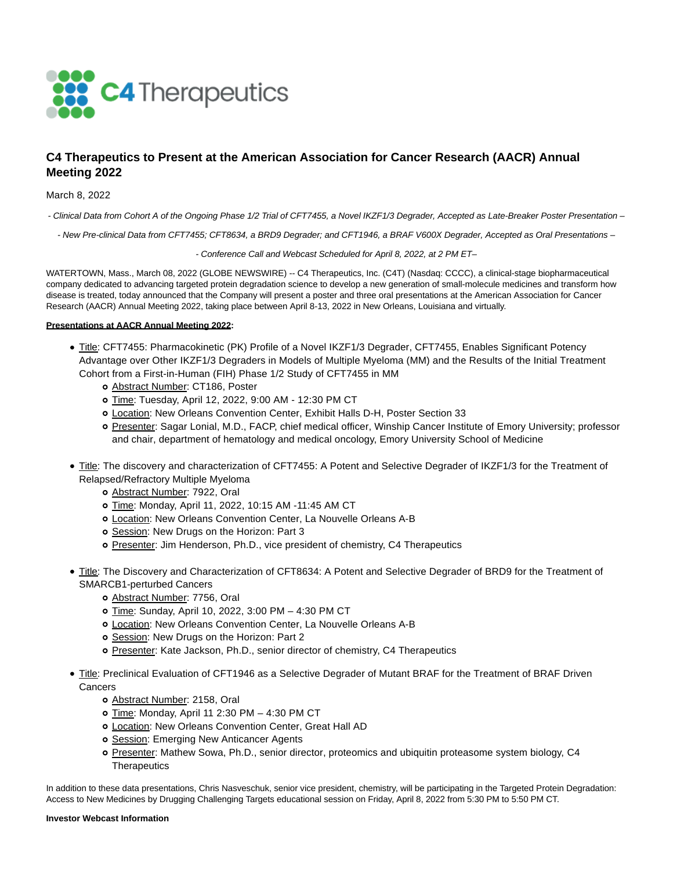

# **C4 Therapeutics to Present at the American Association for Cancer Research (AACR) Annual Meeting 2022**

# March 8, 2022

- Clinical Data from Cohort A of the Ongoing Phase 1/2 Trial of CFT7455, a Novel IKZF1/3 Degrader, Accepted as Late-Breaker Poster Presentation –

- New Pre-clinical Data from CFT7455; CFT8634, a BRD9 Degrader; and CFT1946, a BRAF V600X Degrader, Accepted as Oral Presentations –

- Conference Call and Webcast Scheduled for April 8, 2022, at 2 PM ET–

WATERTOWN, Mass., March 08, 2022 (GLOBE NEWSWIRE) -- C4 Therapeutics, Inc. (C4T) (Nasdaq: CCCC), a clinical-stage biopharmaceutical company dedicated to advancing targeted protein degradation science to develop a new generation of small-molecule medicines and transform how disease is treated, today announced that the Company will present a poster and three oral presentations at the American Association for Cancer Research (AACR) Annual Meeting 2022, taking place between April 8-13, 2022 in New Orleans, Louisiana and virtually.

## **Presentations at AACR Annual Meeting 2022:**

- Title: CFT7455: Pharmacokinetic (PK) Profile of a Novel IKZF1/3 Degrader, CFT7455, Enables Significant Potency Advantage over Other IKZF1/3 Degraders in Models of Multiple Myeloma (MM) and the Results of the Initial Treatment Cohort from a First-in-Human (FIH) Phase 1/2 Study of CFT7455 in MM
	- o **Abstract Number: CT186**, Poster
	- Time: Tuesday, April 12, 2022, 9:00 AM 12:30 PM CT
	- Location: New Orleans Convention Center, Exhibit Halls D-H, Poster Section 33
	- Presenter: Sagar Lonial, M.D., FACP, chief medical officer, Winship Cancer Institute of Emory University; professor and chair, department of hematology and medical oncology, Emory University School of Medicine
- Title: The discovery and characterization of CFT7455: A Potent and Selective Degrader of IKZF1/3 for the Treatment of Relapsed/Refractory Multiple Myeloma
	- o Abstract Number: 7922, Oral
	- o Time: Monday, April 11, 2022, 10:15 AM -11:45 AM CT
	- Location: New Orleans Convention Center, La Nouvelle Orleans A-B
	- o Session: New Drugs on the Horizon: Part 3
	- Presenter: Jim Henderson, Ph.D., vice president of chemistry, C4 Therapeutics
- Title: The Discovery and Characterization of CFT8634: A Potent and Selective Degrader of BRD9 for the Treatment of SMARCB1-perturbed Cancers
	- o Abstract Number: 7756, Oral
	- o Time: Sunday, April 10, 2022, 3:00 PM 4:30 PM CT
	- Location: New Orleans Convention Center, La Nouvelle Orleans A-B
	- o Session: New Drugs on the Horizon: Part 2
	- o Presenter: Kate Jackson, Ph.D., senior director of chemistry, C4 Therapeutics
- Title: Preclinical Evaluation of CFT1946 as a Selective Degrader of Mutant BRAF for the Treatment of BRAF Driven Cancers
	- o Abstract Number: 2158, Oral
	- o Time: Monday, April 11 2:30 PM 4:30 PM CT
	- Location: New Orleans Convention Center, Great Hall AD
	- **o** Session: Emerging New Anticancer Agents
	- o Presenter: Mathew Sowa, Ph.D., senior director, proteomics and ubiquitin proteasome system biology, C4 **Therapeutics**

In addition to these data presentations, Chris Nasveschuk, senior vice president, chemistry, will be participating in the Targeted Protein Degradation: Access to New Medicines by Drugging Challenging Targets educational session on Friday, April 8, 2022 from 5:30 PM to 5:50 PM CT.

#### **Investor Webcast Information**